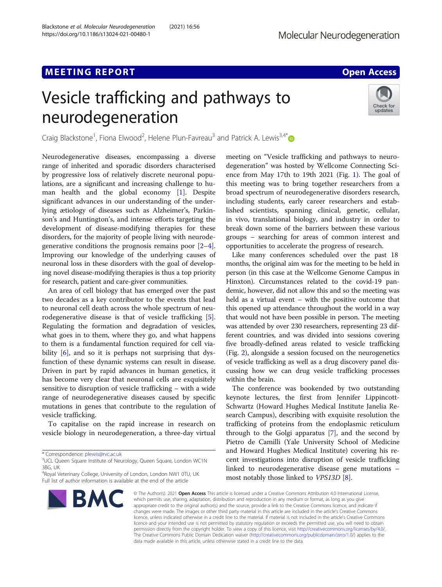# M E E TING R E TING R E TING R E TING R E TING R E TING R E TING R E TING R E TING R E TING R E TING R E TING<br>[Access](http://crossmark.crossref.org/dialog/?doi=10.1186/s13024-021-00480-1&domain=pdf) and the contract of the contract of the contract of the contract of the contract of the contract of the Vesicle trafficking and pathways to neurodegeneration



Craig Blackstone<sup>1</sup>, Fiona Elwood<sup>2</sup>, Helene Plun-Favreau<sup>3</sup> and Patrick A. Lewis<sup>3,4[\\*](http://orcid.org/0000-0003-4537-0489)</sup>

Neurodegenerative diseases, encompassing a diverse range of inherited and sporadic disorders characterised by progressive loss of relatively discrete neuronal populations, are a significant and increasing challenge to human health and the global economy [\[1](#page-2-0)]. Despite significant advances in our understanding of the underlying ætiology of diseases such as Alzheimer's, Parkinson's and Huntington's, and intense efforts targeting the development of disease-modifying therapies for these disorders, for the majority of people living with neurodegenerative conditions the prognosis remains poor [\[2](#page-2-0)–[4](#page-2-0)]. Improving our knowledge of the underlying causes of neuronal loss in these disorders with the goal of developing novel disease-modifying therapies is thus a top priority for research, patient and care-giver communities.

An area of cell biology that has emerged over the past two decades as a key contributor to the events that lead to neuronal cell death across the whole spectrum of neurodegenerative disease is that of vesicle trafficking [\[5](#page-2-0)]. Regulating the formation and degradation of vesicles, what goes in to them, where they go, and what happens to them is a fundamental function required for cell via-bility [[6\]](#page-2-0), and so it is perhaps not surprising that dysfunction of these dynamic systems can result in disease. Driven in part by rapid advances in human genetics, it has become very clear that neuronal cells are exquisitely sensitive to disruption of vesicle trafficking – with a wide range of neurodegenerative diseases caused by specific mutations in genes that contribute to the regulation of vesicle trafficking.

To capitalise on the rapid increase in research on vesicle biology in neurodegeneration, a three-day virtual

<sup>&</sup>lt;sup>4</sup>Royal Veterinary College, University of London, London NW1 0TU, UK Full list of author information is available at the end of the article



meeting on "Vesicle trafficking and pathways to neurodegeneration" was hosted by Wellcome Connecting Science from May 17th to 19th 2021 (Fig. [1](#page-1-0)). The goal of this meeting was to bring together researchers from a broad spectrum of neurodegenerative disorders research, including students, early career researchers and established scientists, spanning clinical, genetic, cellular, in vivo, translational biology, and industry in order to break down some of the barriers between these various groups – searching for areas of common interest and opportunities to accelerate the progress of research.

Like many conferences scheduled over the past 18 months, the original aim was for the meeting to be held in person (in this case at the Wellcome Genome Campus in Hinxton). Circumstances related to the covid-19 pandemic, however, did not allow this and so the meeting was held as a virtual event – with the positive outcome that this opened up attendance throughout the world in a way that would not have been possible in person. The meeting was attended by over 230 researchers, representing 23 different countries, and was divided into sessions covering five broadly-defined areas related to vesicle trafficking (Fig. [2](#page-1-0)), alongside a session focused on the neurogenetics of vesicle trafficking as well as a drug discovery panel discussing how we can drug vesicle trafficking processes within the brain.

The conference was bookended by two outstanding keynote lectures, the first from Jennifer Lippincott-Schwartz (Howard Hughes Medical Institute Janelia Research Campus), describing with exquisite resolution the trafficking of proteins from the endoplasmic reticulum through to the Golgi apparatus [\[7](#page-2-0)], and the second by Pietro de Camilli (Yale University School of Medicine and Howard Hughes Medical Institute) covering his recent investigations into disruption of vesicle trafficking linked to neurodegenerative disease gene mutations – most notably those linked to VPS13D [[8\]](#page-2-0).

© The Author(s), 2021 **Open Access** This article is licensed under a Creative Commons Attribution 4.0 International License, which permits use, sharing, adaptation, distribution and reproduction in any medium or format, as long as you give appropriate credit to the original author(s) and the source, provide a link to the Creative Commons licence, and indicate if changes were made. The images or other third party material in this article are included in the article's Creative Commons licence, unless indicated otherwise in a credit line to the material. If material is not included in the article's Creative Commons licence and your intended use is not permitted by statutory regulation or exceeds the permitted use, you will need to obtain permission directly from the copyright holder. To view a copy of this licence, visit [http://creativecommons.org/licenses/by/4.0/.](http://creativecommons.org/licenses/by/4.0/) The Creative Commons Public Domain Dedication waiver [\(http://creativecommons.org/publicdomain/zero/1.0/](http://creativecommons.org/publicdomain/zero/1.0/)) applies to the data made available in this article, unless otherwise stated in a credit line to the data.

<sup>\*</sup> Correspondence: [plewis@rvc.ac.uk](mailto:plewis@rvc.ac.uk)<br><sup>3</sup>UCL Queen Square Institute of Neurology, Queen Square, London WC1N 3BG, UK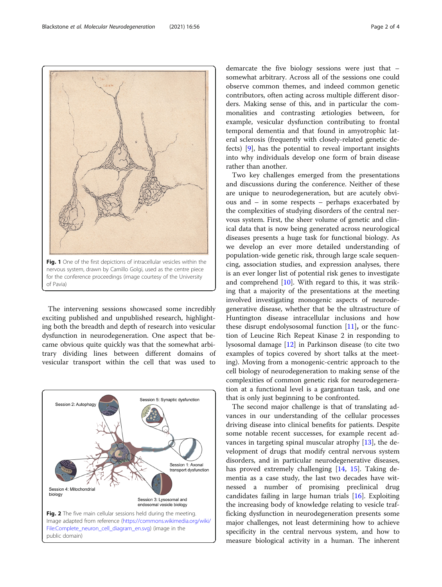The intervening sessions showcased some incredibly exciting published and unpublished research, highlighting both the breadth and depth of research into vesicular dysfunction in neurodegeneration. One aspect that became obvious quite quickly was that the somewhat arbitrary dividing lines between different domains of



[File:Complete\\_neuron\\_cell\\_diagram\\_en.svg](https://commons.wikimedia.org/wiki/File:Complete_neuron_cell_diagram_en.svg)) (image in the

public domain)

demarcate the five biology sessions were just that – somewhat arbitrary. Across all of the sessions one could observe common themes, and indeed common genetic contributors, often acting across multiple different disorders. Making sense of this, and in particular the commonalities and contrasting ætiologies between, for example, vesicular dysfunction contributing to frontal temporal dementia and that found in amyotrophic lateral sclerosis (frequently with closely-related genetic defects) [[9\]](#page-2-0), has the potential to reveal important insights into why individuals develop one form of brain disease rather than another.

Two key challenges emerged from the presentations and discussions during the conference. Neither of these are unique to neurodegeneration, but are acutely obvious and – in some respects – perhaps exacerbated by the complexities of studying disorders of the central nervous system. First, the sheer volume of genetic and clinical data that is now being generated across neurological diseases presents a huge task for functional biology. As we develop an ever more detailed understanding of population-wide genetic risk, through large scale sequencing, association studies, and expression analyses, there is an ever longer list of potential risk genes to investigate and comprehend [[10\]](#page-2-0). With regard to this, it was striking that a majority of the presentations at the meeting involved investigating monogenic aspects of neurodegenerative disease, whether that be the ultrastructure of Huntington disease intracellular inclusions and how these disrupt endolysosomal function [[11\]](#page-2-0), or the function of Leucine Rich Repeat Kinase 2 in responding to lysosomal damage [\[12\]](#page-2-0) in Parkinson disease (to cite two examples of topics covered by short talks at the meeting). Moving from a monogenic-centric approach to the cell biology of neurodegeneration to making sense of the complexities of common genetic risk for neurodegeneration at a functional level is a gargantuan task, and one that is only just beginning to be confronted.

The second major challenge is that of translating advances in our understanding of the cellular processes driving disease into clinical benefits for patients. Despite some notable recent successes, for example recent advances in targeting spinal muscular atrophy [[13\]](#page-2-0), the development of drugs that modify central nervous system disorders, and in particular neurodegenerative diseases, has proved extremely challenging [\[14](#page-2-0), [15\]](#page-2-0). Taking dementia as a case study, the last two decades have witnessed a number of promising preclinical drug candidates failing in large human trials [[16](#page-2-0)]. Exploiting the increasing body of knowledge relating to vesicle trafficking dysfunction in neurodegeneration presents some major challenges, not least determining how to achieve specificity in the central nervous system, and how to measure biological activity in a human. The inherent

<span id="page-1-0"></span>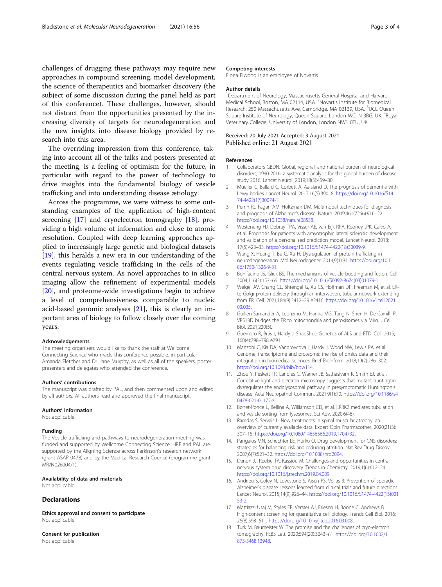<span id="page-2-0"></span>challenges of drugging these pathways may require new approaches in compound screening, model development, the science of therapeutics and biomarker discovery (the subject of some discussion during the panel held as part of this conference). These challenges, however, should not distract from the opportunities presented by the increasing diversity of targets for neurodegeneration and the new insights into disease biology provided by research into this area.

The overriding impression from this conference, taking into account all of the talks and posters presented at the meeting, is a feeling of optimism for the future, in particular with regard to the power of technology to drive insights into the fundamental biology of vesicle trafficking and into understanding disease ætiology.

Across the programme, we were witness to some outstanding examples of the application of high-content screening [17] and cryoelectron tomography [18], providing a high volume of information and close to atomic resolution. Coupled with deep learning approaches applied to increasingly large genetic and biological datasets [[19\]](#page-3-0), this heralds a new era in our understanding of the events regulating vesicle trafficking in the cells of the central nervous system. As novel approaches to in silico imaging allow the refinement of experimental models [[20\]](#page-3-0), and proteome-wide investigations begin to achieve a level of comprehensiveness comparable to nucleic acid-based genomic analyses [\[21\]](#page-3-0), this is clearly an important area of biology to follow closely over the coming years.

#### Acknowledgements

The meeting organisers would like to thank the staff at Wellcome Connecting Science who made this conference possible, in particular Amanda Fletcher and Dr. Jane Murphy, as well as all of the speakers, poster presenters and delegates who attended the conference.

#### Authors' contributions

The manuscript was drafted by PAL, and then commented upon and edited by all authors. All authors read and approved the final manuscript.

#### Authors' information

Not applicable

## Funding

The Vesicle trafficking and pathways to neurodegeneration meeting was funded and supported by Wellcome Connecting Science. HPF and PAL are supported by the Aligning Science across Parkinson's research network (grant ASAP 0478) and by the Medical Research Council (programme grant MR/N026004/1).

# Availability of data and materials

Not applicable.

# **Declarations**

Ethics approval and consent to participate Not applicable.

Consent for publication Not applicable.

#### Competing interests

Fiona Elwood is an employee of Novartis.

#### Author details

<sup>1</sup>Department of Neurology, Massachusetts General Hospital and Harvard Medical School, Boston, MA 02114, USA. <sup>2</sup>Novartis Institute for Biomedical Research, 250 Massachusetts Ave, Cambridge, MA 02139, USA. <sup>3</sup>UCL Queen Square Institute of Neurology, Queen Square, London WC1N 3BG, UK. <sup>4</sup>Royal Veterinary College, University of London, London NW1 0TU, UK.

# Received: 20 July 2021 Accepted: 3 August 2021 Published online: 21 August 2021

#### References

- 1. Collaborators GBDN. Global, regional, and national burden of neurological disorders, 1990-2016: a systematic analysis for the global burden of disease study 2016. Lancet Neurol. 2019;18(5):459–80.
- 2. Mueller C, Ballard C, Corbett A, Aarsland D. The prognosis of dementia with Lewy bodies. Lancet Neurol. 2017;16(5):390–8. [https://doi.org/10.1016/S14](https://doi.org/10.1016/S1474-4422(17)30074-1) [74-4422\(17\)30074-1](https://doi.org/10.1016/S1474-4422(17)30074-1).
- 3. Perrin RJ, Fagan AM, Holtzman DM. Multimodal techniques for diagnosis and prognosis of Alzheimer's disease. Nature. 2009;461(7266):916–22. <https://doi.org/10.1038/nature08538>.
- 4. Westeneng HJ, Debray TPA, Visser AE, van Eijk RPA, Rooney JPK, Calvo A, et al. Prognosis for patients with amyotrophic lateral sclerosis: development and validation of a personalised prediction model. Lancet Neurol. 2018; 17(5):423–33. [https://doi.org/10.1016/S1474-4422\(18\)30089-9.](https://doi.org/10.1016/S1474-4422(18)30089-9)
- 5. Wang X, Huang T, Bu G, Xu H. Dysregulation of protein trafficking in neurodegeneration. Mol Neurodegener. 2014;9(1):31. [https://doi.org/10.11](https://doi.org/10.1186/1750-1326-9-31) [86/1750-1326-9-31.](https://doi.org/10.1186/1750-1326-9-31)
- 6. Bonifacino JS, Glick BS. The mechanisms of vesicle budding and fusion. Cell. 2004;116(2):153–66. [https://doi.org/10.1016/S0092-8674\(03\)01079-1](https://doi.org/10.1016/S0092-8674(03)01079-1).
- 7. Weigel AV, Chang CL, Shtengel G, Xu CS, Hoffman DP, Freeman M, et al. ERto-Golgi protein delivery through an interwoven, tubular network extending from ER. Cell. 2021;184(9):2412–29 e2416. [https://doi.org/10.1016/j.cell.2021.](https://doi.org/10.1016/j.cell.2021.03.035) [03.035](https://doi.org/10.1016/j.cell.2021.03.035).
- 8. Guillen-Samander A, Leonzino M, Hanna MG, Tang N, Shen H, De Camilli P, VPS13D bridges the ER to mitochondria and peroxisomes via Miro. J Cell Biol. 2021;220(5).
- 9. Guerreiro R, Brás J, Hardy J. SnapShot: Genetics of ALS and FTD. Cell. 2015; 160(4):798–798 e791.
- 10. Manzoni C, Kia DA, Vandrovcova J, Hardy J, Wood NW, Lewis PA, et al. Genome, transcriptome and proteome: the rise of omics data and their integration in biomedical sciences. Brief Bioinform. 2018;19(2):286–302. [https://doi.org/10.1093/bib/bbw114.](https://doi.org/10.1093/bib/bbw114)
- 11. Zhou Y, Peskett TR, Landles C, Warner JB, Sathasivam K, Smith EJ, et al. Correlative light and electron microscopy suggests that mutant huntingtin dysregulates the endolysosomal pathway in presymptomatic Huntington's disease. Acta Neuropathol Commun. 2021;9(1):70. [https://doi.org/10.1186/s4](https://doi.org/10.1186/s40478-021-01172-z) [0478-021-01172-z.](https://doi.org/10.1186/s40478-021-01172-z)
- 12. Bonet-Ponce L, Beilina A, Williamson CD, et al. LRRK2 mediates tubulation and vesicle sorting from lysosomes. Sci Adv. 2020;6(46).
- 13. Ramdas S, Servais L. New treatments in spinal muscular atrophy: an overview of currently available data. Expert Opin Pharmacother. 2020;21(3): 307–15. <https://doi.org/10.1080/14656566.2019.1704732>.
- 14. Pangalos MN, Schechter LE, Hurko O. Drug development for CNS disorders: strategies for balancing risk and reducing attrition. Nat Rev Drug Discov. 2007;6(7):521–32. [https://doi.org/10.1038/nrd2094.](https://doi.org/10.1038/nrd2094)
- 15. Danon JJ, Reekie TA, Kassiou M. Challenges and opportunities in central nervous system drug discovery. Trends in Chemistry. 2019;1(6):612–24. <https://doi.org/10.1016/j.trechm.2019.04.009>.
- 16. Andrieu S, Coley N, Lovestone S, Aisen PS, Vellas B. Prevention of sporadic Alzheimer's disease: lessons learned from clinical trials and future directions. Lancet Neurol. 2015;14(9):926–44. [https://doi.org/10.1016/S1474-4422\(15\)001](https://doi.org/10.1016/S1474-4422(15)00153-2) [53-2](https://doi.org/10.1016/S1474-4422(15)00153-2).
- 17. Mattiazzi Usaj M, Styles EB, Verster AJ, Friesen H, Boone C, Andrews BJ. High-content screening for quantitative cell biology. Trends Cell Biol. 2016; 26(8):598–611. <https://doi.org/10.1016/j.tcb.2016.03.008>.
- 18. Turk M, Baumeister W. The promise and the challenges of cryo-electron tomography. FEBS Lett. 2020;594(20):3243–61. [https://doi.org/10.1002/1](https://doi.org/10.1002/1873-3468.13948) [873-3468.13948.](https://doi.org/10.1002/1873-3468.13948)